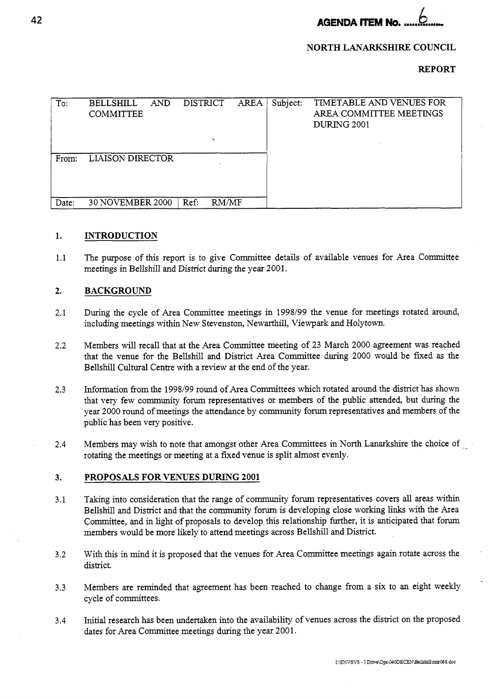**AGENDA ITEM No.** 

### **NORTH LANARKSHIRE COUNCIL**

### **REPORT**

| To:   | <b>BELLSHILL</b><br>AND<br><b>COMMITTEE</b> | DISTRICT<br>$\overline{\phantom{0}}$ | AREA | Subject: | TIMETABLE AND VENUES FOR<br>AREA COMMITTEE MEETINGS<br><b>DURING 2001</b> |
|-------|---------------------------------------------|--------------------------------------|------|----------|---------------------------------------------------------------------------|
| From: | <b>LIAISON DIRECTOR</b>                     |                                      |      |          |                                                                           |
| Date: | 30 NOVEMBER 2000                            | RM/MF<br>Ref:                        |      |          |                                                                           |

#### **1. INTRODUCTION**

1.1 The purpose of this report is to give Committee details of available venues for Area Committee meetings in Bellshill and District during the year 2001.

#### **2. BACKGROUND**

- 2.1 During the cycle of Area Committee meetings in *1998/99* the venue for meetings rotated around, including meetings within New *S* tevenston, Newarthill, Viewpark and Holytown.
- **2.2**  Members will recall that at the Area Committee meeting of 23 March 2000 agreement was reached that the venue for the Bellshill and District Area Committee during 2000 would be fixed as the Bellshill Cultural Centre with a review at the end of the year.
- 2.3 Information from the 1998/99 round of Area Committees which rotated around the district has shown that very few community forum representatives or members of the public attended, but during the year 2000 round of meetings the attendance by community forum representatives and members of the public has been very positive.
- 2.4 Members may wish to note that amongst other Area Committees in North Lanarkshire the choice of rotating the meetings or meeting at a fixed venue is split almost evenly.

#### **3. PROPOSALS FOR VENUES DURING 2001**

- 3.1 Taking into consideration that the range of community forum representatives covers **all** areas within Bellshill and District and that the community forum is developing close working links with the Area Committee, and in light of proposals to develop this relationship further, it is anticipated that forum members would be more likely to attend meetings across Bellshill and District.
- 3.2 With this in mind it is proposed that the venues for Area Committee meetings again rotate across the district.
- 3.3 Members are reminded that agreement has been reached to change from a six to an eight weekly cycle of committees.
- 3.4 Initial research has been undertaken into the availability of venues across the district on the proposed dates for Area Committee meetings during the year 2001.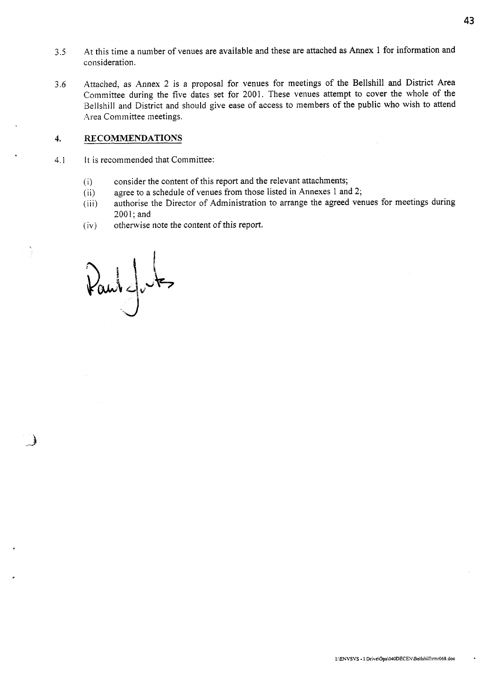- **43**
- *3.5* At this time a number of venues are available and these are attached as Annex 1 for information and consideration.
- 3.6 Attached, as Annex 2 is a proposal for venues for meetings of the Bellshill and District Area Committee during the five dates set for 2001. These venues attempt to cover the whole of the Bellshill and District and should give ease of access to members of the public who wish to attend Area Committee meetings.

### **4. RECOMMENDATIONS**

- 4.1 It is recommended that Committee:
	- (i) consider the content of this report and the relevant attachments;
	- (ii) agree to a schedule of venues from those listed in Annexes 1 and 2;
	- (iii) authorise the Director of Administration to arrange the agreed venues for meetings during  $2001$ ; and
	- (iv) otherwise note the content of this report.

 $\mathcal{V}$  and  $\mathcal{V}$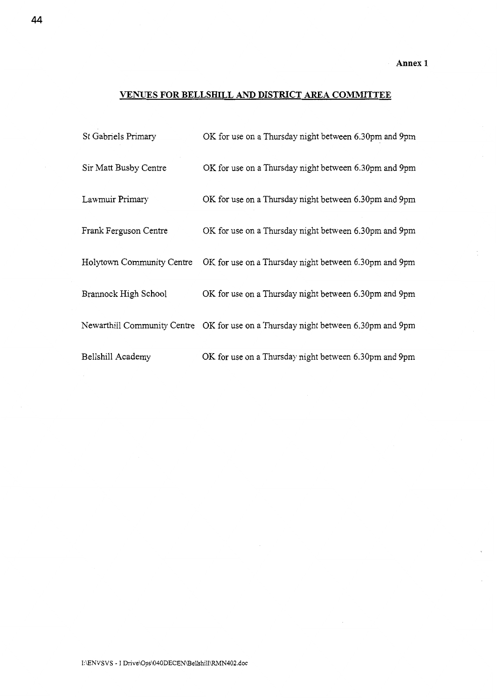## **VENUES FOR BELLSHILL** *AND* **DISTFUCT AREA COMMITTEE**

| St Gabriels Primary       | OK for use on a Thursday night between 6.30pm and 9pm                             |
|---------------------------|-----------------------------------------------------------------------------------|
| Sir Matt Busby Centre     | OK for use on a Thursday night between 6.30pm and 9pm                             |
| Lawmuir Primary           | OK for use on a Thursday night between 6.30pm and 9pm                             |
| Frank Ferguson Centre     | OK for use on a Thursday night between 6.30pm and 9pm                             |
| Holytown Community Centre | OK for use on a Thursday night between 6.30pm and 9pm                             |
| Brannock High School      | OK for use on a Thursday night between 6.30pm and 9pm                             |
|                           | Newarthill Community Centre OK for use on a Thursday night between 6.30pm and 9pm |
| Bellshill Academy         | OK for use on a Thursday night between 6.30pm and 9pm                             |